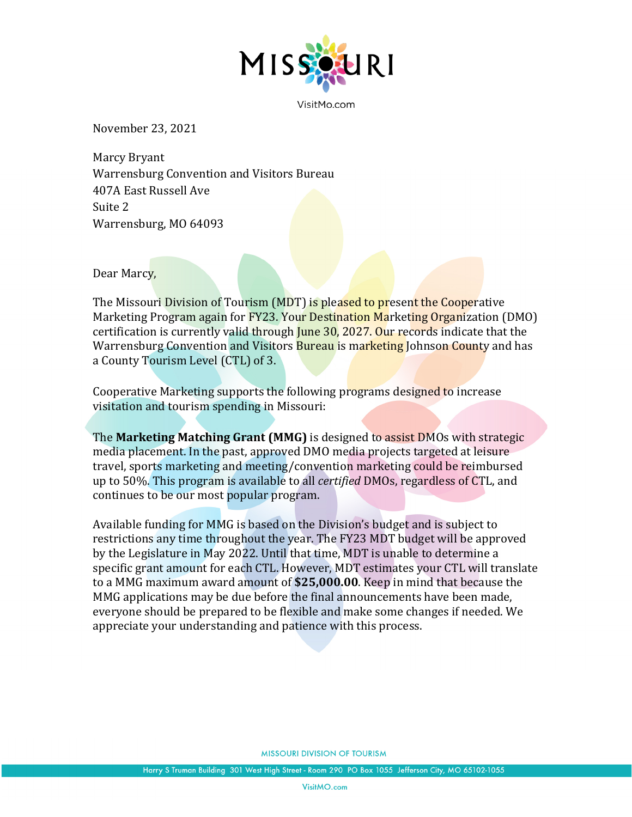

VisitMo.com

November 23, 2021

Marcy Bryant Warrensburg Convention and Visitors Bureau 407A East Russell Ave Suite 2 Warrensburg, MO 64093

Dear Marcy,

The Missouri Division of Tourism (MDT) is pleased to present the Cooperative Marketing Program again for FY23. Your Destination Marketing Organization (DMO) certification is currently valid through June 30, 2027. Our records indicate that the Warrensburg Convention and Visitors Bureau is marketing Johnson County and has a County Tourism Level (CTL) of 3.

Cooperative Marketing supports the following programs designed to increase visitation and tourism spending in Missouri:

The **Marketing Matching Grant (MMG)** is designed to assist DMOs with strategic media placement. In the past, approved DMO media projects targeted at leisure travel, sports marketing and meeting/convention marketing could be reimbursed up to 50%. This program is available to all *certified* DMOs, regardless of CTL, and continues to be our most popular program.

Available funding for MMG is based on the Division's budget and is subject to restrictions any time throughout the year. The FY23 MDT budget will be approved by the Legislature in May 2022. Until that time, MDT is unable to determine a specific grant amount for each CTL. However, MDT estimates your CTL will translate to a MMG maximum award amount of **\$25,000.00**. Keep in mind that because the MMG applications may be due before the final announcements have been made, everyone should be prepared to be flexible and make some changes if needed. We appreciate your understanding and patience with this process.

**MISSOURI DIVISION OF TOURISM**